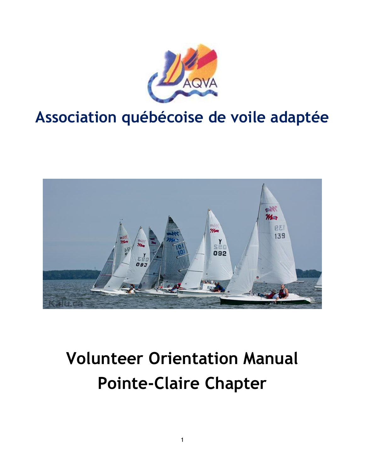

## **Association québécoise de voile adaptée**



# **Volunteer Orientation Manual Pointe-Claire Chapter**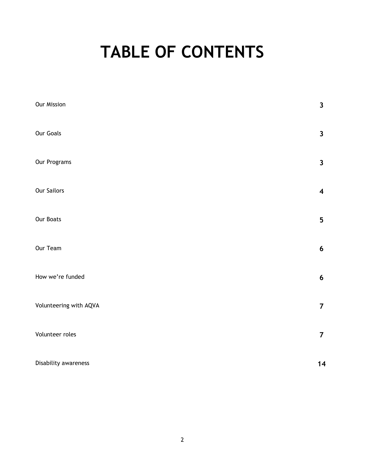## **TABLE OF CONTENTS**

| Our Mission            | $\overline{\mathbf{3}}$ |
|------------------------|-------------------------|
| <b>Our Goals</b>       | $\mathbf{3}$            |
| Our Programs           | $\overline{\mathbf{3}}$ |
| <b>Our Sailors</b>     | $\overline{\mathbf{4}}$ |
| <b>Our Boats</b>       | $5\phantom{.0}$         |
| Our Team               | $6\phantom{a}$          |
| How we're funded       | $6\phantom{a}$          |
| Volunteering with AQVA | $\overline{7}$          |
| Volunteer roles        | $\overline{7}$          |
| Disability awareness   | 14                      |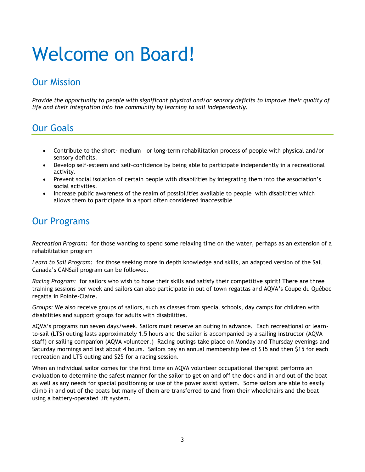# Welcome on Board!

## Our Mission

*Provide the opportunity to people with significant physical and/or sensory deficits to improve their quality of life and their integration into the community by learning to sail independently.*

## Our Goals

- Contribute to the short- medium or long-term rehabilitation process of people with physical and/or sensory deficits.
- Develop self-esteem and self-confidence by being able to participate independently in a recreational activity.
- Prevent social isolation of certain people with disabilities by integrating them into the association's social activities.
- Increase public awareness of the realm of possibilities available to people with disabilities which allows them to participate in a sport often considered inaccessible

## Our Programs

*Recreation Program:* for those wanting to spend some relaxing time on the water, perhaps as an extension of a rehabilitation program

*Learn to Sail Program:* for those seeking more in depth knowledge and skills, an adapted version of the Sail Canada's CANSail program can be followed.

*Racing Program:* for sailors who wish to hone their skills and satisfy their competitive spirit! There are three training sessions per week and sailors can also participate in out of town regattas and AQVA's Coupe du Québec regatta in Pointe-Claire.

*Groups:* We also receive groups of sailors, such as classes from special schools, day camps for children with disabilities and support groups for adults with disabilities.

AQVA's programs run seven days/week. Sailors must reserve an outing in advance. Each recreational or learnto-sail (LTS) outing lasts approximately 1.5 hours and the sailor is accompanied by a sailing instructor (AQVA staff) or sailing companion (AQVA volunteer.) Racing outings take place on Monday and Thursday evenings and Saturday mornings and last about 4 hours. Sailors pay an annual membership fee of \$15 and then \$15 for each recreation and LTS outing and \$25 for a racing session.

When an individual sailor comes for the first time an AQVA volunteer occupational therapist performs an evaluation to determine the safest manner for the sailor to get on and off the dock and in and out of the boat as well as any needs for special positioning or use of the power assist system. Some sailors are able to easily climb in and out of the boats but many of them are transferred to and from their wheelchairs and the boat using a battery-operated lift system.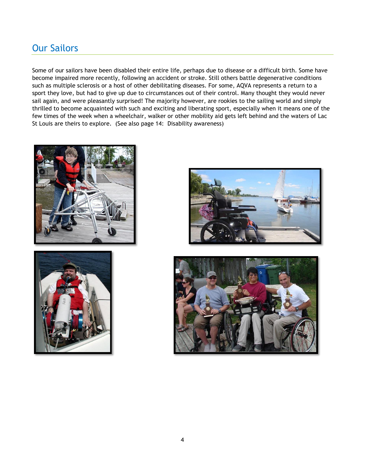## Our Sailors

Some of our sailors have been disabled their entire life, perhaps due to disease or a difficult birth. Some have become impaired more recently, following an accident or stroke. Still others battle degenerative conditions such as multiple sclerosis or a host of other debilitating diseases. For some, AQVA represents a return to a sport they love, but had to give up due to circumstances out of their control. Many thought they would never sail again, and were pleasantly surprised! The majority however, are rookies to the sailing world and simply thrilled to become acquainted with such and exciting and liberating sport, especially when it means one of the few times of the week when a wheelchair, walker or other mobility aid gets left behind and the waters of Lac St Louis are theirs to explore. (See also page 14: Disability awareness)







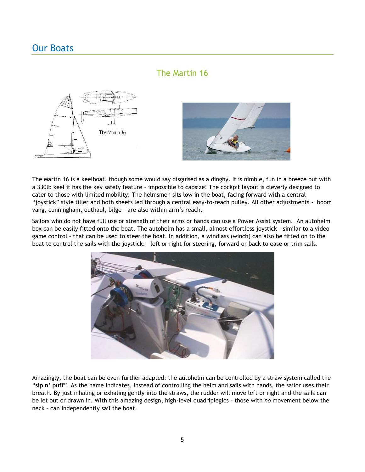## Our Boats

### The Martin 16



The Martin 16 is a keelboat, though some would say disguised as a dinghy. It is nimble, fun in a breeze but with a 330lb keel it has the key safety feature – impossible to capsize! The cockpit layout is cleverly designed to cater to those with limited mobility: The helmsmen sits low in the boat, facing forward with a central "joystick" style tiller and both sheets led through a central easy-to-reach pulley. All other adjustments - boom vang, cunningham, outhaul, bilge – are also within arm's reach.

Sailors who do not have full use or strength of their arms or hands can use a Power Assist system. An autohelm box can be easily fitted onto the boat. The autohelm has a small, almost effortless joystick – similar to a video game control – that can be used to steer the boat. In addition, a windlass (winch) can also be fitted on to the boat to control the sails with the joystick: left or right for steering, forward or back to ease or trim sails.



Amazingly, the boat can be even further adapted: the autohelm can be controlled by a straw system called the "**sip n' puff**". As the name indicates, instead of controlling the helm and sails with hands, the sailor uses their breath. By just inhaling or exhaling gently into the straws, the rudder will move left or right and the sails can be let out or drawn in. With this amazing design, high-level quadriplegics – those with *no* movement below the neck – can independently sail the boat.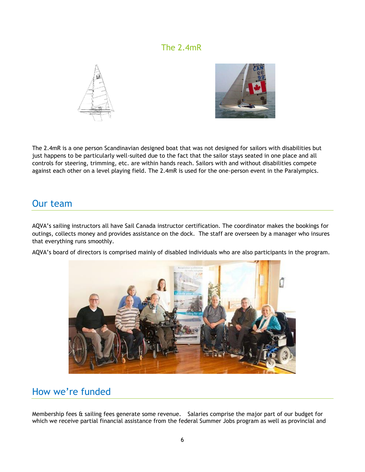### The 2.4mR





The 2.4mR is a one person Scandinavian designed boat that was not designed for sailors with disabilities but just happens to be particularly well-suited due to the fact that the sailor stays seated in one place and all controls for steering, trimming, etc. are within hands reach. Sailors with and without disabilities compete against each other on a level playing field. The 2.4mR is used for the one-person event in the Paralympics.

## Our team

AQVA's sailing instructors all have Sail Canada instructor certification. The coordinator makes the bookings for outings, collects money and provides assistance on the dock. The staff are overseen by a manager who insures that everything runs smoothly.

AQVA's board of directors is comprised mainly of disabled individuals who are also participants in the program.



## How we're funded

Membership fees & sailing fees generate some revenue. Salaries comprise the major part of our budget for which we receive partial financial assistance from the federal Summer Jobs program as well as provincial and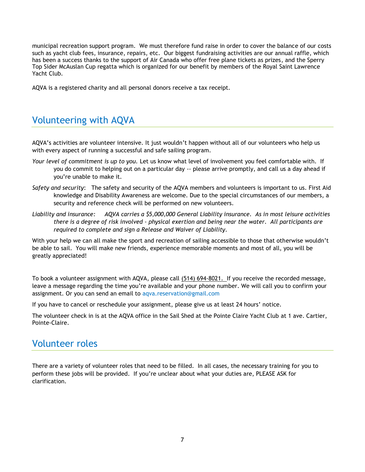municipal recreation support program. We must therefore fund raise in order to cover the balance of our costs such as yacht club fees, insurance, repairs, etc. Our biggest fundraising activities are our annual raffle, which has been a success thanks to the support of Air Canada who offer free plane tickets as prizes, and the Sperry Top Sider McAuslan Cup regatta which is organized for our benefit by members of the Royal Saint Lawrence Yacht Club.

AQVA is a registered charity and all personal donors receive a tax receipt.

## Volunteering with AQVA

AQVA's activities are volunteer intensive*.* It just wouldn't happen without all of our volunteers who help us with every aspect of running a successful and safe sailing program.

- *Your level of commitment is up to you.* Let us know what level of involvement you feel comfortable with. If you do commit to helping out on a particular day -- please arrive promptly, and call us a day ahead if you're unable to make it.
- *Safety and security*: The safety and security of the AQVA members and volunteers is important to us. First Aid knowledge and Disability Awareness are welcome. Due to the special circumstances of our members, a security and reference check will be performed on new volunteers.
- *Liability and insurance: AQVA carries a \$5,000,000 General Liability insurance. As in most leisure activities there is a degree of risk involved - physical exertion and being near the water. All participants are required to complete and sign a Release and Waiver of Liability.*

With your help we can all make the sport and recreation of sailing accessible to those that otherwise wouldn't be able to sail. You will make new friends, experience memorable moments and most of all, you will be greatly appreciated!

To book a volunteer assignment with AQVA, please call (514) 694-8021. If you receive the recorded message, leave a message regarding the time you're available and your phone number. We will call you to confirm your assignment. Or you can send an email to aqva.reservation@gmail.com

If you have to cancel or reschedule your assignment, please give us at least 24 hours' notice.

The volunteer check in is at the AQVA office in the Sail Shed at the Pointe Claire Yacht Club at 1 ave. Cartier, Pointe-Claire.

## Volunteer roles

There are a variety of volunteer roles that need to be filled. In all cases, the necessary training for you to perform these jobs will be provided. If you're unclear about what your duties are, PLEASE ASK for clarification.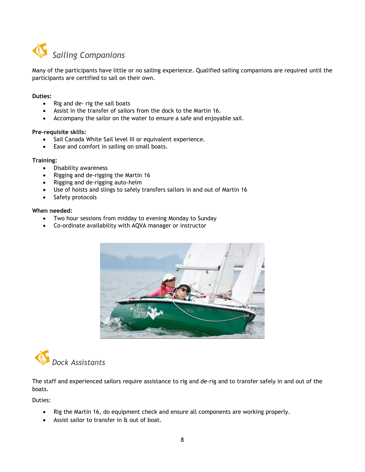

Many of the participants have little or no sailing experience. Qualified sailing companions are required until the participants are certified to sail on their own.

#### **Duties:**

- Rig and de- rig the sail boats
- Assist in the transfer of sailors from the dock to the Martin 16.
- Accompany the sailor on the water to ensure a safe and enjoyable sail.

#### **Pre-requisite skills:**

- Sail Canada White Sail level III or equivalent experience.
- Ease and comfort in sailing on small boats.

#### **Training:**

- Disability awareness
- Rigging and de-rigging the Martin 16
- Rigging and de-rigging auto-helm
- Use of hoists and slings to safely transfers sailors in and out of Martin 16
- Safety protocols

#### **When needed:**

- Two hour sessions from midday to evening Monday to Sunday
- Co-ordinate availability with AQVA manager or instructor





The staff and experienced sailors require assistance to rig and de-rig and to transfer safely in and out of the boats.

Duties:

- Rig the Martin 16, do equipment check and ensure all components are working properly.
- Assist sailor to transfer in & out of boat.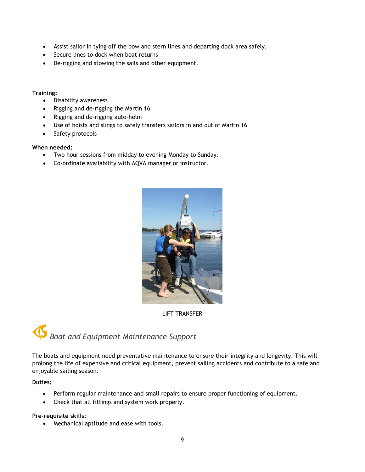- Assist sailor in tying off the bow and stern lines and departing dock area safely.
- Secure lines to dock when boat returns
- De-rigging and stowing the sails and other equipment.

#### **Training:**

- Disability awareness
- Rigging and de-rigging the Martin 16
- Rigging and de-rigging auto-helm
- Use of hoists and slings to safely transfers sailors in and out of Martin 16
- Safety protocols

#### **When needed:**

- Two hour sessions from midday to evening Monday to Sunday.
- Co-ordinate availability with AQVA manager or instructor.



LIFT TRANSFER



The boats and equipment need preventative maintenance to ensure their integrity and longevity. This will prolong the life of expensive and critical equipment, prevent sailing accidents and contribute to a safe and enjoyable sailing season.

#### **Duties:**

- Perform regular maintenance and small repairs to ensure proper functioning of equipment.
- Check that all fittings and system work properly.

#### **Pre-requisite skills:**

Mechanical aptitude and ease with tools.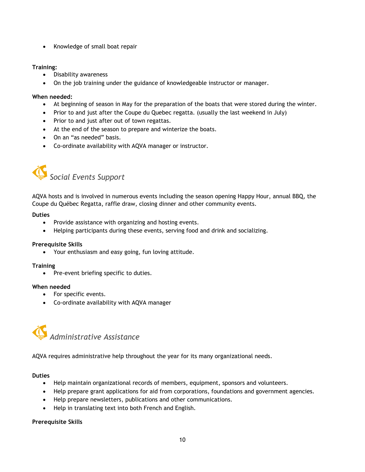• Knowledge of small boat repair

#### **Training:**

- Disability awareness
- On the job training under the guidance of knowledgeable instructor or manager.

#### **When needed:**

- At beginning of season in May for the preparation of the boats that were stored during the winter.
- Prior to and just after the Coupe du Quebec regatta. (usually the last weekend in July)
- Prior to and just after out of town regattas.
- At the end of the season to prepare and winterize the boats.
- On an "as needed" basis.
- Co-ordinate availability with AQVA manager or instructor.



AQVA hosts and is involved in numerous events including the season opening Happy Hour, annual BBQ, the Coupe du Québec Regatta, raffle draw, closing dinner and other community events.

#### **Duties**

- Provide assistance with organizing and hosting events.
- Helping participants during these events, serving food and drink and socializing.

#### **Prerequisite Skills**

Your enthusiasm and easy going, fun loving attitude.

#### **Training**

• Pre-event briefing specific to duties.

#### **When needed**

- For specific events.
- Co-ordinate availability with AQVA manager



AQVA requires administrative help throughout the year for its many organizational needs.

#### **Duties**

- Help maintain organizational records of members, equipment, sponsors and volunteers.
- Help prepare grant applications for aid from corporations, foundations and government agencies.
- Help prepare newsletters, publications and other communications.
- Help in translating text into both French and English.

#### **Prerequisite Skills**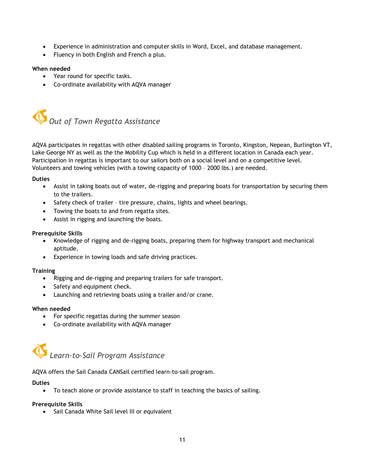- Experience in administration and computer skills in Word, Excel, and database management.
- Fluency in both English and French a plus.

#### **When needed**

- Year round for specific tasks.
- Co-ordinate availability with AQVA manager



AQVA participates in regattas with other disabled sailing programs in Toronto, Kingston, Nepean, Burlington VT, Lake George NY as well as the the Mobility Cup which is held in a different location in Canada each year. Participation in regattas is important to our sailors both on a social level and on a competitive level. Volunteers and towing vehicles (with a towing capacity of 1000 – 2000 lbs.) are needed.

#### **Duties**

- Assist in taking boats out of water, de-rigging and preparing boats for transportation by securing them to the trailers.
- Safety check of trailer tire pressure, chains, lights and wheel bearings.
- Towing the boats to and from regatta sites.
- Assist in rigging and launching the boats.

#### **Prerequisite Skills**

- Knowledge of rigging and de-rigging boats, preparing them for highway transport and mechanical aptitude.
- Experience in towing loads and safe driving practices.

#### **Training**

- Rigging and de-rigging and preparing trailers for safe transport.
- Safety and equipment check.
- Launching and retrieving boats using a trailer and/or crane.

#### **When needed**

- For specific regattas during the summer season
- Co-ordinate availability with AQVA manager



AQVA offers the Sail Canada CANSail certified learn-to-sail program.

#### **Duties**

To teach alone or provide assistance to staff in teaching the basics of sailing.

#### **Prerequisite Skills**

• Sail Canada White Sail level III or equivalent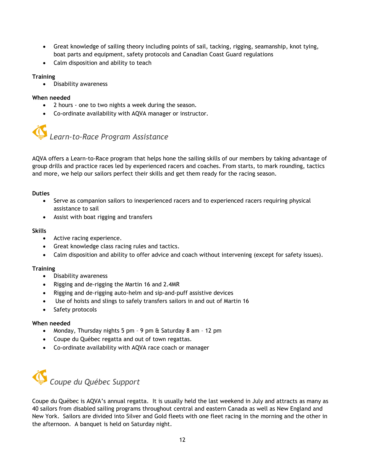- Great knowledge of sailing theory including points of sail, tacking, rigging, seamanship, knot tying, boat parts and equipment, safety protocols and Canadian Coast Guard regulations
- Calm disposition and ability to teach

#### **Training**

Disability awareness

#### **When needed**

- 2 hours one to two nights a week during the season.
- Co-ordinate availability with AQVA manager or instructor.



AQVA offers a Learn-to-Race program that helps hone the sailing skills of our members by taking advantage of group drills and practice races led by experienced racers and coaches. From starts, to mark rounding, tactics and more, we help our sailors perfect their skills and get them ready for the racing season.

#### **Duties**

- Serve as companion sailors to inexperienced racers and to experienced racers requiring physical assistance to sail
- Assist with boat rigging and transfers

#### **Skills**

- Active racing experience.
- Great knowledge class racing rules and tactics.
- Calm disposition and ability to offer advice and coach without intervening (except for safety issues).

#### **Training**

- Disability awareness
- Rigging and de-rigging the Martin 16 and 2.4MR
- Rigging and de-rigging auto-helm and sip-and-puff assistive devices
- Use of hoists and slings to safely transfers sailors in and out of Martin 16
- Safety protocols

#### **When needed**

- Monday, Thursday nights 5 pm 9 pm & Saturday 8 am 12 pm
- Coupe du Québec regatta and out of town regattas.
- Co-ordinate availability with AQVA race coach or manager



Coupe du Québec is AQVA's annual regatta. It is usually held the last weekend in July and attracts as many as 40 sailors from disabled sailing programs throughout central and eastern Canada as well as New England and New York. Sailors are divided into Silver and Gold fleets with one fleet racing in the morning and the other in the afternoon. A banquet is held on Saturday night.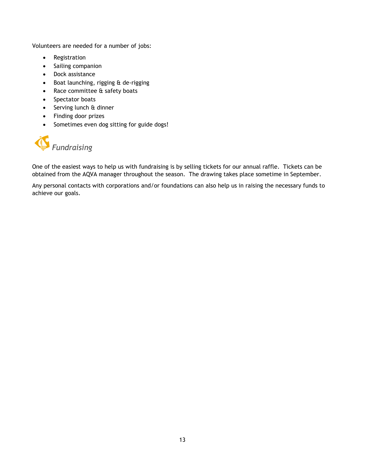Volunteers are needed for a number of jobs:

- Registration
- Sailing companion
- Dock assistance
- Boat launching, rigging & de-rigging
- Race committee & safety boats
- Spectator boats
- Serving lunch & dinner
- Finding door prizes
- Sometimes even dog sitting for guide dogs!

## *Fundraising*

One of the easiest ways to help us with fundraising is by selling tickets for our annual raffle. Tickets can be obtained from the AQVA manager throughout the season. The drawing takes place sometime in September.

Any personal contacts with corporations and/or foundations can also help us in raising the necessary funds to achieve our goals.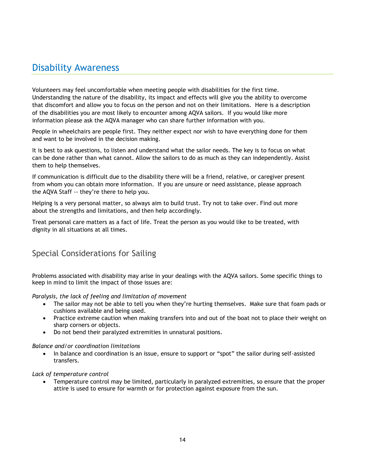## Disability Awareness

Volunteers may feel uncomfortable when meeting people with disabilities for the first time. Understanding the nature of the disability, its impact and effects will give you the ability to overcome that discomfort and allow you to focus on the person and not on their limitations. Here is a description of the disabilities you are most likely to encounter among AQVA sailors. If you would like more information please ask the AQVA manager who can share further information with you.

People in wheelchairs are people first. They neither expect nor wish to have everything done for them and want to be involved in the decision making.

It is best to ask questions, to listen and understand what the sailor needs. The key is to focus on what can be done rather than what cannot. Allow the sailors to do as much as they can independently. Assist them to help themselves.

If communication is difficult due to the disability there will be a friend, relative, or caregiver present from whom you can obtain more information. If you are unsure or need assistance, please approach the AQVA Staff -- they're there to help you.

Helping is a very personal matter, so always aim to build trust. Try not to take over. Find out more about the strengths and limitations, and then help accordingly.

Treat personal care matters as a fact of life. Treat the person as you would like to be treated, with dignity in all situations at all times.

### Special Considerations for Sailing

Problems associated with disability may arise in your dealings with the AQVA sailors. Some specific things to keep in mind to limit the impact of those issues are:

*Paralysis, the lack of feeling and limitation of movement* 

- The sailor may not be able to tell you when they're hurting themselves. Make sure that foam pads or cushions available and being used.
- Practice extreme caution when making transfers into and out of the boat not to place their weight on sharp corners or objects.
- Do not bend their paralyzed extremities in unnatural positions.

#### *Balance and/or coordination limitations*

• In balance and coordination is an issue, ensure to support or "spot" the sailor during self-assisted transfers.

#### *Lack of temperature control*

 Temperature control may be limited, particularly in paralyzed extremities, so ensure that the proper attire is used to ensure for warmth or for protection against exposure from the sun.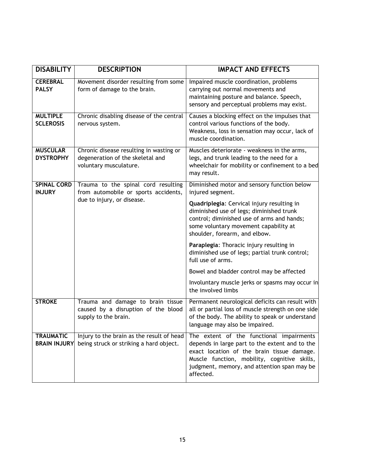| <b>DISABILITY</b>                       | <b>DESCRIPTION</b>                                                                                    | <b>IMPACT AND EFFECTS</b>                                                                                                                                                                                                                            |
|-----------------------------------------|-------------------------------------------------------------------------------------------------------|------------------------------------------------------------------------------------------------------------------------------------------------------------------------------------------------------------------------------------------------------|
| <b>CEREBRAL</b><br><b>PALSY</b>         | Movement disorder resulting from some<br>form of damage to the brain.                                 | Impaired muscle coordination, problems<br>carrying out normal movements and<br>maintaining posture and balance. Speech,<br>sensory and perceptual problems may exist.                                                                                |
| <b>MULTIPLE</b><br><b>SCLEROSIS</b>     | Chronic disabling disease of the central<br>nervous system.                                           | Causes a blocking effect on the impulses that<br>control various functions of the body.<br>Weakness, loss in sensation may occur, lack of<br>muscle coordination.                                                                                    |
| <b>MUSCULAR</b><br><b>DYSTROPHY</b>     | Chronic disease resulting in wasting or<br>degeneration of the skeletal and<br>voluntary musculature. | Muscles deteriorate - weakness in the arms,<br>legs, and trunk leading to the need for a<br>wheelchair for mobility or confinement to a bed<br>may result.                                                                                           |
| <b>SPINAL CORD</b><br><b>INJURY</b>     | Trauma to the spinal cord resulting<br>from automobile or sports accidents,                           | Diminished motor and sensory function below<br>injured segment.                                                                                                                                                                                      |
|                                         | due to injury, or disease.                                                                            | Quadriplegia: Cervical injury resulting in<br>diminished use of legs; diminished trunk<br>control; diminished use of arms and hands;<br>some voluntary movement capability at<br>shoulder, forearm, and elbow.                                       |
|                                         |                                                                                                       | Paraplegia: Thoracic injury resulting in<br>diminished use of legs; partial trunk control;<br>full use of arms.                                                                                                                                      |
|                                         |                                                                                                       | Bowel and bladder control may be affected                                                                                                                                                                                                            |
|                                         |                                                                                                       | Involuntary muscle jerks or spasms may occur in<br>the involved limbs                                                                                                                                                                                |
| <b>STROKE</b>                           | Trauma and damage to brain tissue<br>caused by a disruption of the blood<br>supply to the brain.      | Permanent neurological deficits can result with<br>all or partial loss of muscle strength on one side<br>of the body. The ability to speak or understand<br>language may also be impaired.                                                           |
| <b>TRAUMATIC</b><br><b>BRAIN INJURY</b> | Injury to the brain as the result of head<br>being struck or striking a hard object.                  | The extent of the functional impairments<br>depends in large part to the extent and to the<br>exact location of the brain tissue damage.<br>Muscle function, mobility, cognitive skills,<br>judgment, memory, and attention span may be<br>affected. |